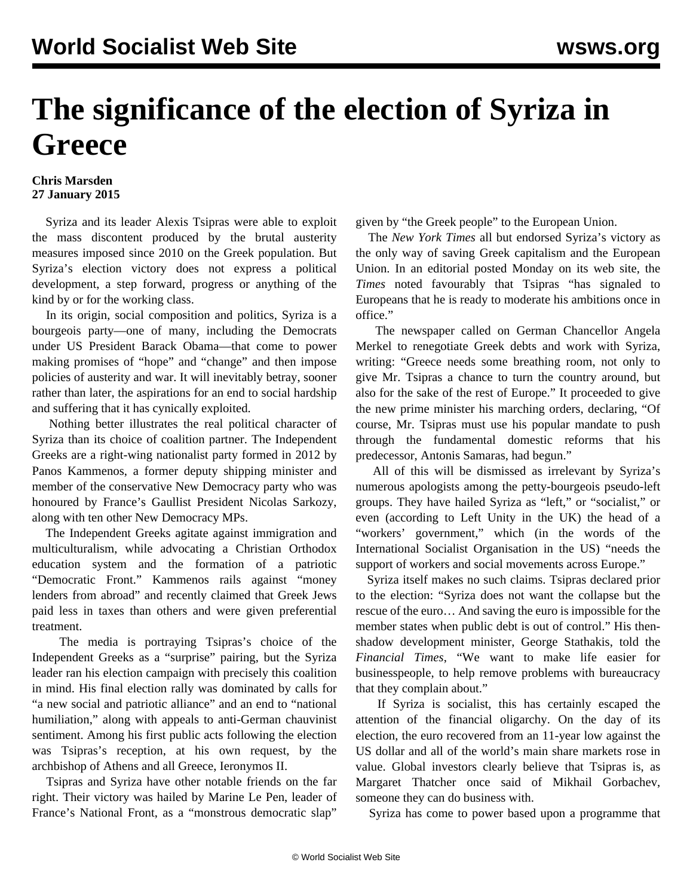## **The significance of the election of Syriza in Greece**

## **Chris Marsden 27 January 2015**

 Syriza and its leader Alexis Tsipras were able to exploit the mass discontent produced by the brutal austerity measures imposed since 2010 on the Greek population. But Syriza's election victory does not express a political development, a step forward, progress or anything of the kind by or for the working class.

 In its origin, social composition and politics, Syriza is a bourgeois party—one of many, including the Democrats under US President Barack Obama—that come to power making promises of "hope" and "change" and then impose policies of austerity and war. It will inevitably betray, sooner rather than later, the aspirations for an end to social hardship and suffering that it has cynically exploited.

 Nothing better illustrates the real political character of Syriza than its choice of coalition partner. The Independent Greeks are a right-wing nationalist party formed in 2012 by Panos Kammenos, a former deputy shipping minister and member of the conservative New Democracy party who was honoured by France's Gaullist President Nicolas Sarkozy, along with ten other New Democracy MPs.

 The Independent Greeks agitate against immigration and multiculturalism, while advocating a Christian Orthodox education system and the formation of a patriotic "Democratic Front." Kammenos rails against "money lenders from abroad" and recently claimed that Greek Jews paid less in taxes than others and were given preferential treatment.

 The media is portraying Tsipras's choice of the Independent Greeks as a "surprise" pairing, but the Syriza leader ran his election campaign with precisely this coalition in mind. His final election rally was dominated by calls for "a new social and patriotic alliance" and an end to "national humiliation," along with appeals to anti-German chauvinist sentiment. Among his first public acts following the election was Tsipras's reception, at his own request, by the archbishop of Athens and all Greece, Ieronymos II.

 Tsipras and Syriza have other notable friends on the far right. Their victory was hailed by Marine Le Pen, leader of France's National Front, as a "monstrous democratic slap"

given by "the Greek people" to the European Union.

 The *New York Times* all but endorsed Syriza's victory as the only way of saving Greek capitalism and the European Union. In an editorial posted Monday on its web site, the *Times* noted favourably that Tsipras "has signaled to Europeans that he is ready to moderate his ambitions once in office."

 The newspaper called on German Chancellor Angela Merkel to renegotiate Greek debts and work with Syriza, writing: "Greece needs some breathing room, not only to give Mr. Tsipras a chance to turn the country around, but also for the sake of the rest of Europe." It proceeded to give the new prime minister his marching orders, declaring, "Of course, Mr. Tsipras must use his popular mandate to push through the fundamental domestic reforms that his predecessor, Antonis Samaras, had begun."

 All of this will be dismissed as irrelevant by Syriza's numerous apologists among the petty-bourgeois pseudo-left groups. They have hailed Syriza as "left," or "socialist," or even (according to Left Unity in the UK) the head of a "workers' government," which (in the words of the International Socialist Organisation in the US) "needs the support of workers and social movements across Europe."

 Syriza itself makes no such claims. Tsipras declared prior to the election: "Syriza does not want the collapse but the rescue of the euro… And saving the euro is impossible for the member states when public debt is out of control." His thenshadow development minister, George Stathakis, told the *Financial Times*, "We want to make life easier for businesspeople, to help remove problems with bureaucracy that they complain about."

 If Syriza is socialist, this has certainly escaped the attention of the financial oligarchy. On the day of its election, the euro recovered from an 11-year low against the US dollar and all of the world's main share markets rose in value. Global investors clearly believe that Tsipras is, as Margaret Thatcher once said of Mikhail Gorbachev, someone they can do business with.

Syriza has come to power based upon a programme that